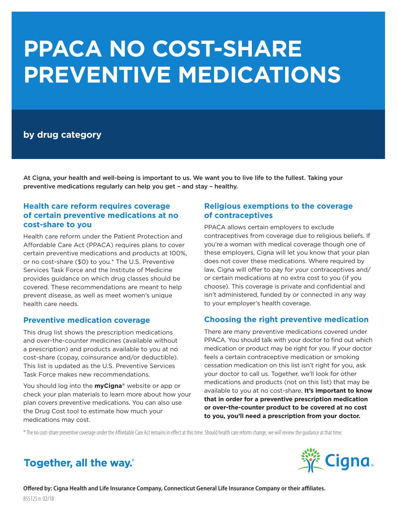# **PPACA NO COST-SHARE PREVENTIVE MEDICATIONS**

# **by drug category**

At Cigna, your health and well-being is important to us. We want you to live life to the fullest. Taking your preventive medications regularly can help you get – and stay – healthy.

# **Health care reform requires coverage of certain preventive medications at no cost-share to you**

Health care reform under the Patient Protection and Affordable Care Act (PPACA) requires plans to cover certain preventive medications and products at 100%, or no cost-share (\$0) to you.\* The U.S. Preventive Services Task Force and the Institute of Medicine provides guidance on which drug classes should be covered. These recommendations are meant to help prevent disease, as well as meet women's unique health care needs.

# **Preventive medication coverage**

This drug list shows the prescription medications and over-the-counter medicines (available without a prescription) and products available to you at no cost-share (copay, coinsurance and/or deductible). This list is updated as the U.S. Preventive Services Task Force makes new recommendations.

You should log into the **myCigna®** website or app or check your plan materials to learn more about how your plan covers preventive medications. You can also use the Drug Cost tool to estimate how much your medications may cost.

# **Religious exemptions to the coverage of contraceptives**

PPACA allows certain employers to exclude contraceptives from coverage due to religious beliefs. If you're a woman with medical coverage though one of these employers, Cigna will let you know that your plan does not cover these medications. Where required by law, Cigna will offer to pay for your contraceptives and/ or certain medications at no extra cost to you (if you choose). This coverage is private and confidential and isn't administered, funded by or connected in any way to your employer's health coverage.

# **Choosing the right preventive medication**

There are many preventive medications covered under PPACA. You should talk with your doctor to find out which medication or product may be right for you. If your doctor feels a certain contraceptive medication or smoking cessation medication on this list isn't right for you, ask your doctor to call us. Together, we'll look for other medications and products (not on this list) that may be available to you at no cost-share. **It's important to know that in order for a preventive prescription medication or over-the-counter product to be covered at no cost to you, you'll need a prescription from your doctor.**

\* The no cost-share preventive coverage under the Affordable Care Act remains in effect at this time. Should health care reform change, we will review the guidance at that time.

# Together, all the way.



**Offered by: Cigna Health and Life Insurance Company, Connecticut General Life Insurance Company or their affiliates.**  855125 n 02/18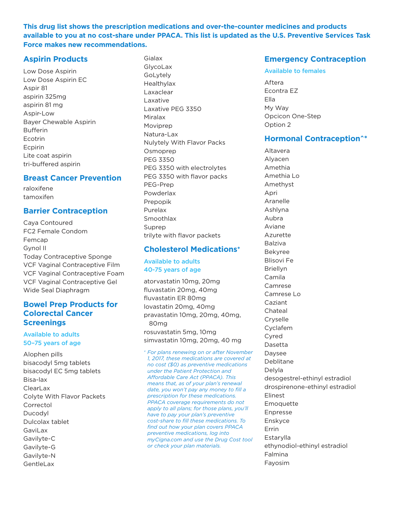**This drug list shows the prescription medications and over-the-counter medicines and products available to you at no cost-share under PPACA. This list is updated as the U.S. Preventive Services Task Force makes new recommendations.**

## **Aspirin Products**

Low Dose Aspirin Low Dose Aspirin EC Aspir 81 aspirin 325mg aspirin 81 mg Aspir-Low Bayer Chewable Aspirin Bufferin Ecotrin Ecpirin Lite coat aspirin tri-buffered aspirin

#### **Breast Cancer Prevention**

raloxifene tamoxifen

# **Barrier Contraception**

Caya Contoured FC2 Female Condom Femcap Gynol II Today Contraceptive Sponge VCF Vaginal Contraceptive Film VCF Vaginal Contraceptive Foam VCF Vaginal Contraceptive Gel Wide Seal Diaphragm

## **Bowel Prep Products for Colorectal Cancer Screenings**

#### Available to adults 50–75 years of age

Alophen pills bisacodyl 5mg tablets bisacodyl EC 5mg tablets Bisa-lax ClearLax Colyte With Flavor Packets Correctol Ducodyl Dulcolax tablet GaviLax Gavilyte-C Gavilyte-G Gavilyte-N **GentleLax** 

Gialax GlycoLax GoLytely Healthylax Laxaclear Laxative Laxative PEG 3350 Miralax Moviprep Natura-Lax Nulytely With Flavor Packs Osmoprep PEG 3350 PEG 3350 with electrolytes PEG 3350 with flavor packs PEG-Prep Powderlax Prepopik Purelax Smoothlax Suprep trilyte with flavor packets

# **Cholesterol Medications+**

#### Available to adults 40-75 years of age

atorvastatin 10mg, 20mg fluvastatin 20mg, 40mg fluvastatin ER 80mg lovastatin 20mg, 40mg pravastatin 10mg, 20mg, 40mg, 80mg rosuvastatin 5mg, 10mg simvastatin 10mg, 20mg, 40 mg

*<sup>+</sup> For plans renewing on or after November 1, 2017, these medications are covered at no cost (\$0) as preventive medications under the Patient Protection and Affordable Care Act (PPACA). This means that, as of your plan's renewal date, you won't pay any money to fill a prescription for these medications. PPACA coverage requirements do not apply to all plans; for those plans, you'll have to pay your plan's preventive cost-share to fill these medications. To find out how your plan covers PPACA preventive medications, log into myCigna.com and use the Drug Cost tool or check your plan materials.*

# **Emergency Contraception**

#### Available to females

Aftera Econtra EZ Ella My Way Opcicon One-Step Option 2

# **Hormonal Contraception^\***

Altavera Alyacen Amethia Amethia Lo Amethyst Apri Aranelle Ashlyna Aubra Aviane Azurette Balziva Bekyree Blisovi Fe Briellyn Camila Camrese Camrese Lo Caziant Chateal Cryselle Cyclafem Cyred Dasetta Daysee Deblitane Delyla desogestrel-ethinyl estradiol drospirenone-ethinyl estradiol Elinest Emoquette Enpresse Enskyce Errin **Estarylla** ethynodiol-ethinyl estradiol Falmina Fayosim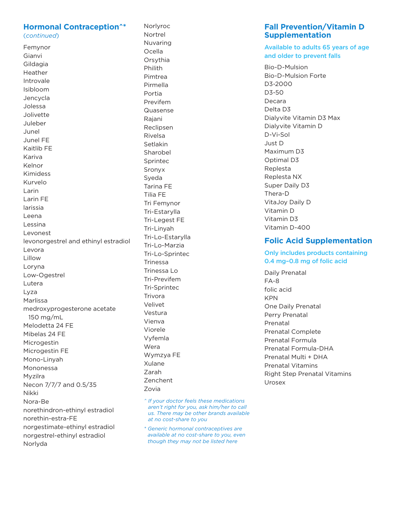#### **Hormonal Contraception^\*** (continued)

Femynor Gianvi Gildagia Heather Introvale Isibloom Jencycla Jolessa Jolivette Juleber Junel Junel FE Kaitlib FE Kariva Kelnor **Kimidess** Kurvelo Larin Larin FE larissia Leena Lessina Levonest levonorgestrel and ethinyl estradiol Levora Lillow Loryna Low-Ogestrel Lutera Lyza Marlissa medroxyprogesterone acetate 150 mg/mL Melodetta 24 FE Mibelas 24 FE Microgestin Microgestin FE Mono-Linyah Mononessa Myzilra Necon 7/7/7 and 0.5/35 Nikki Nora-Be norethindron-ethinyl estradiol norethin-estra-FE norgestimate-ethinyl estradiol norgestrel-ethinyl estradiol Norlyda

Norlvroc Nortrel Nuvaring Ocella Orsythia Philith Pimtrea Pirmella Portia Previfem Quasense Raiani Reclipsen Rivelsa Setlakin Sharobel Sprintec Sronvx Syeda Tarina FE Tilia FF Tri Femynor Tri-Estarylla Tri-Legest FE Tri-Linyah Tri-Lo-Estarvlla Tri-Lo-Marzia Tri-Lo-Sprintec Trinessa Trinessa Lo Tri-Previfem Tri-Sprintec Trivora Velivet Vestura Vienva Viorele Vyfemla Wera Wymzya FE Xulane Zarah **Zenchent** Zovia

- ^ If your doctor feels these medications aren't right for you, ask him/her to call us. There may be other brands available at no cost-share to you
- \* Generic hormonal contraceptives are available at no cost-share to you, even though they may not be listed here

## **Fall Prevention/Vitamin D Supplementation**

#### Available to adults 65 years of age and older to prevent falls

Bio-D-Mulsion **Bio-D-Mulsion Forte** D3-2000 D3-50 Decara Delta D3 Dialyvite Vitamin D3 Max Dialvvite Vitamin D D-Vi-Sol Just D Maximum D3 Optimal D3 Replesta Replesta NX Super Daily D3 Thera-D VitaJoy Daily D Vitamin D Vitamin D3 Vitamin D-400

# **Folic Acid Supplementation**

Only includes products containing 0.4 mg-0.8 mg of folic acid

Daily Prenatal  $FA - 8$ folic acid **KPN** One Daily Prenatal Perry Prenatal Prenatal **Prenatal Complete** Prenatal Formula Prenatal Formula-DHA Prenatal Multi + DHA **Prenatal Vitamins Right Step Prenatal Vitamins** Urosex